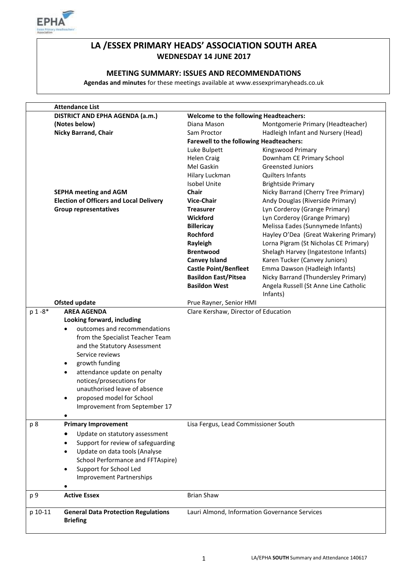

## **LA /ESSEX PRIMARY HEADS' ASSOCIATION SOUTH AREA WEDNESDAY 14 JUNE 2017**

#### **MEETING SUMMARY: ISSUES AND RECOMMENDATIONS**

**Agendas and minutes** for these meetings available at www.essexprimaryheads.co.uk

|         | <b>Attendance List</b>                                        |                                                |                                                   |  |  |
|---------|---------------------------------------------------------------|------------------------------------------------|---------------------------------------------------|--|--|
|         | DISTRICT AND EPHA AGENDA (a.m.)                               | <b>Welcome to the following Headteachers:</b>  |                                                   |  |  |
|         | (Notes below)                                                 | Diana Mason                                    | Montgomerie Primary (Headteacher)                 |  |  |
|         | <b>Nicky Barrand, Chair</b>                                   | Sam Proctor                                    | Hadleigh Infant and Nursery (Head)                |  |  |
|         |                                                               | <b>Farewell to the following Headteachers:</b> |                                                   |  |  |
|         |                                                               | Luke Bulpett                                   | Kingswood Primary                                 |  |  |
|         |                                                               | <b>Helen Craig</b>                             | Downham CE Primary School                         |  |  |
|         |                                                               | Mel Gaskin                                     | <b>Greensted Juniors</b>                          |  |  |
|         |                                                               | Hilary Luckman                                 | <b>Quilters Infants</b>                           |  |  |
|         |                                                               | <b>Isobel Unite</b>                            | <b>Brightside Primary</b>                         |  |  |
|         | <b>SEPHA meeting and AGM</b>                                  | <b>Chair</b>                                   | Nicky Barrand (Cherry Tree Primary)               |  |  |
|         | <b>Election of Officers and Local Delivery</b>                | <b>Vice-Chair</b>                              | Andy Douglas (Riverside Primary)                  |  |  |
|         |                                                               |                                                |                                                   |  |  |
|         | <b>Group representatives</b>                                  | <b>Treasurer</b>                               | Lyn Corderoy (Grange Primary)                     |  |  |
|         |                                                               | Wickford                                       | Lyn Corderoy (Grange Primary)                     |  |  |
|         |                                                               | <b>Billericay</b>                              | Melissa Eades (Sunnymede Infants)                 |  |  |
|         |                                                               | <b>Rochford</b>                                | Hayley O'Dea (Great Wakering Primary)             |  |  |
|         |                                                               | Rayleigh                                       | Lorna Pigram (St Nicholas CE Primary)             |  |  |
|         |                                                               | <b>Brentwood</b>                               | Shelagh Harvey (Ingatestone Infants)              |  |  |
|         |                                                               | <b>Canvey Island</b>                           | Karen Tucker (Canvey Juniors)                     |  |  |
|         |                                                               | <b>Castle Point/Benfleet</b>                   | Emma Dawson (Hadleigh Infants)                    |  |  |
|         |                                                               | <b>Basildon East/Pitsea</b>                    | Nicky Barrand (Thundersley Primary)               |  |  |
|         |                                                               | <b>Basildon West</b>                           | Angela Russell (St Anne Line Catholic<br>Infants) |  |  |
|         |                                                               |                                                |                                                   |  |  |
|         | <b>Ofsted update</b>                                          | Prue Rayner, Senior HMI                        |                                                   |  |  |
| p 1-8*  | <b>AREA AGENDA</b>                                            | Clare Kershaw, Director of Education           |                                                   |  |  |
|         | Looking forward, including                                    |                                                |                                                   |  |  |
|         | outcomes and recommendations<br>$\bullet$                     |                                                |                                                   |  |  |
|         | from the Specialist Teacher Team                              |                                                |                                                   |  |  |
|         | and the Statutory Assessment                                  |                                                |                                                   |  |  |
|         | Service reviews                                               |                                                |                                                   |  |  |
|         | growth funding<br>$\bullet$                                   |                                                |                                                   |  |  |
|         | attendance update on penalty<br>$\bullet$                     |                                                |                                                   |  |  |
|         | notices/prosecutions for                                      |                                                |                                                   |  |  |
|         | unauthorised leave of absence                                 |                                                |                                                   |  |  |
|         | proposed model for School<br>$\bullet$                        |                                                |                                                   |  |  |
|         | Improvement from September 17                                 |                                                |                                                   |  |  |
|         |                                                               |                                                |                                                   |  |  |
| p 8     | <b>Primary Improvement</b>                                    | Lisa Fergus, Lead Commissioner South           |                                                   |  |  |
|         |                                                               |                                                |                                                   |  |  |
|         | Update on statutory assessment<br>٠                           |                                                |                                                   |  |  |
|         | Support for review of safeguarding                            |                                                |                                                   |  |  |
|         | Update on data tools (Analyse<br>$\bullet$                    |                                                |                                                   |  |  |
|         | School Performance and FFTAspire)                             |                                                |                                                   |  |  |
|         | Support for School Led<br>٠                                   |                                                |                                                   |  |  |
|         | <b>Improvement Partnerships</b>                               |                                                |                                                   |  |  |
|         |                                                               |                                                |                                                   |  |  |
| p 9     | <b>Active Essex</b>                                           | <b>Brian Shaw</b>                              |                                                   |  |  |
| p 10-11 | <b>General Data Protection Regulations</b><br><b>Briefing</b> | Lauri Almond, Information Governance Services  |                                                   |  |  |
|         |                                                               |                                                |                                                   |  |  |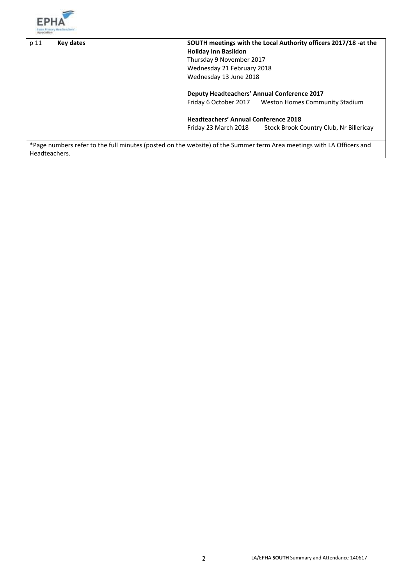

| p 11          | SOUTH meetings with the Local Authority officers 2017/18 -at the<br><b>Key dates</b><br><b>Holiday Inn Basildon</b>   |                                                    |                                                      |
|---------------|-----------------------------------------------------------------------------------------------------------------------|----------------------------------------------------|------------------------------------------------------|
|               |                                                                                                                       | Thursday 9 November 2017                           |                                                      |
|               |                                                                                                                       | Wednesday 21 February 2018                         |                                                      |
|               |                                                                                                                       | Wednesday 13 June 2018                             |                                                      |
|               |                                                                                                                       | <b>Deputy Headteachers' Annual Conference 2017</b> |                                                      |
|               |                                                                                                                       |                                                    | Friday 6 October 2017 Weston Homes Community Stadium |
|               |                                                                                                                       | <b>Headteachers' Annual Conference 2018</b>        |                                                      |
|               |                                                                                                                       | Friday 23 March 2018                               | Stock Brook Country Club, Nr Billericay              |
|               |                                                                                                                       |                                                    |                                                      |
|               | *Page numbers refer to the full minutes (posted on the website) of the Summer term Area meetings with LA Officers and |                                                    |                                                      |
| Headteachers. |                                                                                                                       |                                                    |                                                      |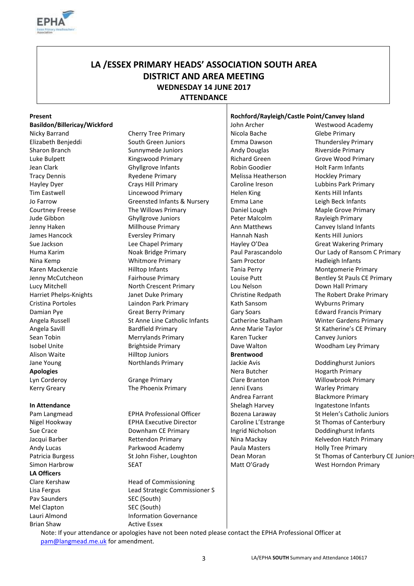

## **LA /ESSEX PRIMARY HEADS' ASSOCIATION SOUTH AREA DISTRICT AND AREA MEETING WEDNESDAY 14 JUNE 2017 ATTENDANCE**

#### **Basildon/Billericay/Wickford** Material Material John Archer Mestwood Academy

**Apologies** Nera Butcher Hogarth Primary Nera Butcher Hogarth Primary Lyn Corderoy Grange Primary Clare Branton Willowbrook Primary Kerry Greary **The Phoenix Primary** Jenni Evans Warley Primary Version of the Phoenix Primary

**LA Officers** Pav Saunders SEC (South) Mel Clapton SEC (South) Brian Shaw **Active Essex** 

Nicky Barrand **Cherry Tree Primary** Nicola Bache Glebe Primary **Cherry Tree Primary** Elizabeth Benjeddi South Green Juniors Emma Dawson Thundersley Primary Sharon Branch Sunnymede Juniors Andy Douglas Riverside Primary Russell Branch Sunnymede Juniors Andy Douglas Luke Bulpett **Kingswood Primary** Richard Green Grove Wood Primary **Richard Green** Jean Clark Ghyllgrove Infants Robin Goodier Holt Farm Infants Tracy Dennis **Ryedene Primary** Melissa Heatherson Hockley Primary Hayley Dyer **Caroline Ireson** Crays Hill Primary **Caroline Ireson** Lubbins Park Primary Tim Eastwell **Lincewood Primary** Helen King Kents Hill Infants Jo Farrow Greensted Infants & Nursery Emma Lane Leigh Beck Infants Courtney Freese The Willows Primary Daniel Lough Maple Grove Primary Courtney Freese Jude Gibbon Ghyllgrove Juniors Peter Malcolm Rayleigh Primary Jenny Haken Millhouse Primary Ann Matthews Canvey Island Infants James Hancock **Eversley Primary** Hannah Nash Kents Hill Juniors Sue Jackson **Lee Chapel Primary** Hayley O'Dea Great Wakering Primary **Hayley O'Dea** Great Wakering Primary Huma Karim **Noak Bridge Primary** Paul Parascandolo **Primary** Paul Parascandolo **Parascandolo** Our Lady of Ransom C Primary Nina Kemp **Nina Kemp** Whitmore Primary Sam Proctor Hadleigh Infants Karen Mackenzie **Mackenzie Montgomerie Primary** Hilltop Infants **Tania Perry Montgomerie Primary** Montgomerie Primary Jenny McCutcheon Fairhouse Primary Louise Putt Bentley St Pauls CE Primary Lucy Mitchell North Crescent Primary Lou Nelson Down Hall Primary Harriet Phelps-Knights Janet Duke Primary Christine Redpath The Robert Drake Primary Cristina Portoles Laindon Park Primary Kath Sansom Wyburns Primary Damian Pye Great Berry Primary Gary Soars Edward Francis Primary Angela Russell St Anne Line Catholic Infants Catherine Stalham Winter Gardens Primary Angela Savill Bardfield Primary Anne Marie Taylor St Katherine's CE Primary CE Anne Marie Taylor St Katherine's CE Primary Sean Tobin **Merrylands Primary Canvey Juniors** Karen Tucker Canvey Juniors Isobel Unite The Brightside Primary **Dave Walton Number 2016** Dave Walton Woodham Ley Primary Alison Waite **Brentwood** Hilltop Juniors **Brentwood** Jane Young Northlands Primary Jackie Avis Doddinghurst Juniors

Nigel Hookway **EPHA Executive Director** Caroline L'Estrange St Thomas of Canterbury Sue Crace **Supersuary CE Primary Ingrid Nicholson** Doddinghurst Infants Jacqui Barber **Rettendon Primary Nina Mackay** Nina Mackay Kelvedon Hatch Primary Andy Lucas **Parkwood Academy** Paula Masters Holly Tree Primary

Clare Kershaw Head of Commissioning Lisa Fergus Lead Strategic Commissioner S Lauri Almond **Information Governance** 

#### **Present Rochford/Rayleigh/Castle Point/Canvey Island**

Andrea Farrant Blackmore Primary In Attendance **In Attendance In Attendance Infants In Attendance Infants Infants Infants Infants Infants** 

Pam Langmead EPHA Professional Officer Bozena Laraway St Helen's Catholic Juniors Patricia Burgess St John Fisher, Loughton | Dean Moran St Thomas of Canterbury CE Juniors Simon Harbrow SEAT SEAT SEAT Nutt O'Grady West Horndon Primary

Note: If your attendance or apologies have not been noted please contact the EPHA Professional Officer at [pam@langmead.me.uk](mailto:pam@langmead.me.uk) for amendment.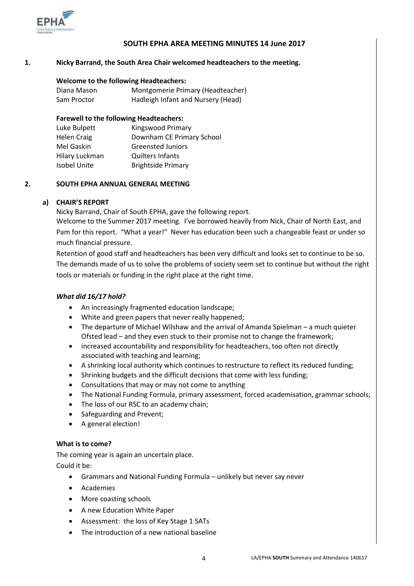

### **SOUTH EPHA AREA MEETING MINUTES 14 June 2017**

#### **1. Nicky Barrand, the South Area Chair welcomed headteachers to the meeting.**

#### **Welcome to the following Headteachers:**

Diana Mason Montgomerie Primary (Headteacher) Sam Proctor **Hadleigh Infant and Nursery (Head)** 

#### **Farewell to the following Headteachers:**

| Luke Bulpett   | Kingswood Primary         |
|----------------|---------------------------|
| Helen Craig    | Downham CE Primary School |
| Mel Gaskin     | <b>Greensted Juniors</b>  |
| Hilary Luckman | <b>Quilters Infants</b>   |
| Isobel Unite   | <b>Brightside Primary</b> |

#### **2. SOUTH EPHA ANNUAL GENERAL MEETING**

#### **a) CHAIR'S REPORT**

Nicky Barrand, Chair of South EPHA, gave the following report.

Welcome to the Summer 2017 meeting. I've borrowed heavily from Nick, Chair of North East, and Pam for this report. "What a year!" Never has education been such a changeable feast or under so much financial pressure.

Retention of good staff and headteachers has been very difficult and looks set to continue to be so. The demands made of us to solve the problems of society seem set to continue but without the right tools or materials or funding in the right place at the right time.

#### *What did 16/17 hold?*

- An increasingly fragmented education landscape;
- White and green papers that never really happened;
- The departure of Michael Wilshaw and the arrival of Amanda Spielman a much quieter Ofsted lead – and they even stuck to their promise not to change the framework;
- increased accountability and responsibility for headteachers, too often not directly associated with teaching and learning;
- A shrinking local authority which continues to restructure to reflect its reduced funding;
- Shrinking budgets and the difficult decisions that come with less funding;
- Consultations that may or may not come to anything
- The National Funding Formula, primary assessment, forced academisation, grammar schools;
- The loss of our RSC to an academy chain;
- Safeguarding and Prevent;
- A general election!

#### **What is to come?**

The coming year is again an uncertain place.

Could it be:

- Grammars and National Funding Formula unlikely but never say never
- Academies
- More coasting schools
- A new Education White Paper
- Assessment: the loss of Key Stage 1 SATs
- The introduction of a new national baseline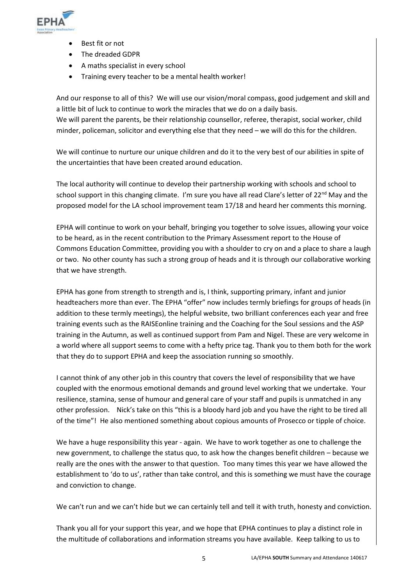

- Best fit or not
- The dreaded GDPR
- A maths specialist in every school
- Training every teacher to be a mental health worker!

And our response to all of this? We will use our vision/moral compass, good judgement and skill and a little bit of luck to continue to work the miracles that we do on a daily basis. We will parent the parents, be their relationship counsellor, referee, therapist, social worker, child minder, policeman, solicitor and everything else that they need – we will do this for the children.

We will continue to nurture our unique children and do it to the very best of our abilities in spite of the uncertainties that have been created around education.

The local authority will continue to develop their partnership working with schools and school to school support in this changing climate. I'm sure you have all read Clare's letter of 22<sup>nd</sup> May and the proposed model for the LA school improvement team 17/18 and heard her comments this morning.

EPHA will continue to work on your behalf, bringing you together to solve issues, allowing your voice to be heard, as in the recent contribution to the Primary Assessment report to the House of Commons Education Committee, providing you with a shoulder to cry on and a place to share a laugh or two. No other county has such a strong group of heads and it is through our collaborative working that we have strength.

EPHA has gone from strength to strength and is, I think, supporting primary, infant and junior headteachers more than ever. The EPHA "offer" now includes termly briefings for groups of heads (in addition to these termly meetings), the helpful website, two brilliant conferences each year and free training events such as the RAISEonline training and the Coaching for the Soul sessions and the ASP training in the Autumn, as well as continued support from Pam and Nigel. These are very welcome in a world where all support seems to come with a hefty price tag. Thank you to them both for the work that they do to support EPHA and keep the association running so smoothly.

I cannot think of any other job in this country that covers the level of responsibility that we have coupled with the enormous emotional demands and ground level working that we undertake. Your resilience, stamina, sense of humour and general care of your staff and pupils is unmatched in any other profession. Nick's take on this "this is a bloody hard job and you have the right to be tired all of the time"! He also mentioned something about copious amounts of Prosecco or tipple of choice.

We have a huge responsibility this year - again. We have to work together as one to challenge the new government, to challenge the status quo, to ask how the changes benefit children – because we really are the ones with the answer to that question. Too many times this year we have allowed the establishment to 'do to us', rather than take control, and this is something we must have the courage and conviction to change.

We can't run and we can't hide but we can certainly tell and tell it with truth, honesty and conviction.

Thank you all for your support this year, and we hope that EPHA continues to play a distinct role in the multitude of collaborations and information streams you have available. Keep talking to us to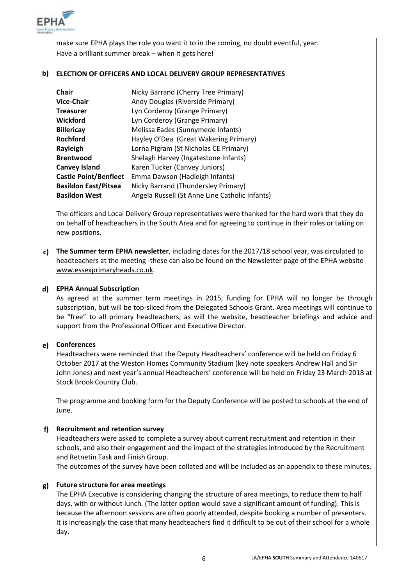

make sure EPHA plays the role you want it to in the coming, no doubt eventful, year. Have a brilliant summer break – when it gets here!

### **b) ELECTION OF OFFICERS AND LOCAL DELIVERY GROUP REPRESENTATIVES**

| <b>Chair</b>                 | Nicky Barrand (Cherry Tree Primary)            |
|------------------------------|------------------------------------------------|
| <b>Vice-Chair</b>            | Andy Douglas (Riverside Primary)               |
| <b>Treasurer</b>             | Lyn Corderoy (Grange Primary)                  |
| <b>Wickford</b>              | Lyn Corderoy (Grange Primary)                  |
| <b>Billericay</b>            | Melissa Eades (Sunnymede Infants)              |
| <b>Rochford</b>              | Hayley O'Dea (Great Wakering Primary)          |
| Rayleigh                     | Lorna Pigram (St Nicholas CE Primary)          |
| <b>Brentwood</b>             | Shelagh Harvey (Ingatestone Infants)           |
| <b>Canvey Island</b>         | Karen Tucker (Canvey Juniors)                  |
| <b>Castle Point/Benfleet</b> | Emma Dawson (Hadleigh Infants)                 |
| <b>Basildon East/Pitsea</b>  | Nicky Barrand (Thundersley Primary)            |
| <b>Basildon West</b>         | Angela Russell (St Anne Line Catholic Infants) |

The officers and Local Delivery Group representatives were thanked for the hard work that they do on behalf of headteachers in the South Area and for agreeing to continue in their roles or taking on new positions.

**c) The Summer term EPHA newsletter**, including dates for the 2017/18 school year, was circulated to headteachers at the meeting -these can also be found on the Newsletter page of the EPHA website [www.essexprimaryheads.co.uk.](http://www.essexprimaryheads.co.uk/)

### **d) EPHA Annual Subscription**

As agreed at the summer term meetings in 2015, funding for EPHA will no longer be through subscription, but will be top-sliced from the Delegated Schools Grant. Area meetings will continue to be "free" to all primary headteachers, as will the website, headteacher briefings and advice and support from the Professional Officer and Executive Director.

#### **e) Conferences**

Headteachers were reminded that the Deputy Headteachers' conference will be held on Friday 6 October 2017 at the Weston Homes Community Stadium (key note speakers Andrew Hall and Sir John Jones) and next year's annual Headteachers' conference will be held on Friday 23 March 2018 at Stock Brook Country Club.

The programme and booking form for the Deputy Conference will be posted to schools at the end of June.

#### **f) Recruitment and retention survey**

Headteachers were asked to complete a survey about current recruitment and retention in their schools, and also their engagement and the impact of the strategies introduced by the Recruitment and Retnetin Task and Finish Group.

The outcomes of the survey have been collated and will be included as an appendix to these minutes.

#### **g) Future structure for area meetings**

The EPHA Executive is considering changing the structure of area meetings, to reduce them to half days, with or without lunch. (The latter option would save a significant amount of funding). This is because the afternoon sessions are often poorly attended, despite booking a number of presenters. It is increasingly the case that many headteachers find it difficult to be out of their school for a whole day.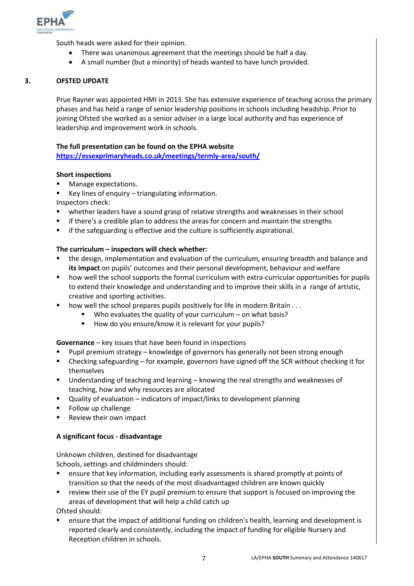

South heads were asked for their opinion.

- There was unanimous agreement that the meetings should be half a day.
- A small number (but a minority) of heads wanted to have lunch provided.

#### **3. OFSTED UPDATE**

Prue Rayner was appointed HMI in 2013. She has extensive experience of teaching across the primary phases and has held a range of senior leadership positions in schools including headship. Prior to joining Ofsted she worked as a senior adviser in a large local authority and has experience of leadership and improvement work in schools.

#### **The full presentation can be found on the EPHA website**

**<https://essexprimaryheads.co.uk/meetings/termly-area/south/>**

#### **Short inspections**

- Manage expectations.
- Key lines of enquiry triangulating information.
- Inspectors check:
- **•** whether leaders have a sound grasp of relative strengths and weaknesses in their school
- if there's a credible plan to address the areas for concern and maintain the strengths
- if the safeguarding is effective and the culture is sufficiently aspirational.

#### **The curriculum – inspectors will check whether:**

- the design, implementation and evaluation of the curriculum, ensuring breadth and balance and **its impact** on pupils' outcomes and their personal development, behaviour and welfare
- how well the school supports the formal curriculum with extra-curricular opportunities for pupils to extend their knowledge and understanding and to improve their skills in a range of artistic, creative and sporting activities.
- how well the school prepares pupils positively for life in modern Britain . . .
	- $\blacksquare$  Who evaluates the quality of your curriculum on what basis?
		- How do you ensure/know it is relevant for your pupils?

#### **Governance** – key issues that have been found in inspections

- Pupil premium strategy knowledge of governors has generally not been strong enough
- Checking safeguarding for example, governors have signed off the SCR without checking it for themselves
- Understanding of teaching and learning knowing the real strengths and weaknesses of teaching, how and why resources are allocated
- Quality of evaluation indicators of impact/links to development planning
- Follow up challenge
- Review their own impact

#### **A significant focus - disadvantage**

Unknown children, destined for disadvantage Schools, settings and childminders should:

- ensure that key information, including early assessments is shared promptly at points of transition so that the needs of the most disadvantaged children are known quickly
- review their use of the EY pupil premium to ensure that support is focused on improving the areas of development that will help a child catch up

Ofsted should:

 ensure that the impact of additional funding on children's health, learning and development is reported clearly and consistently, including the impact of funding for eligible Nursery and Reception children in schools.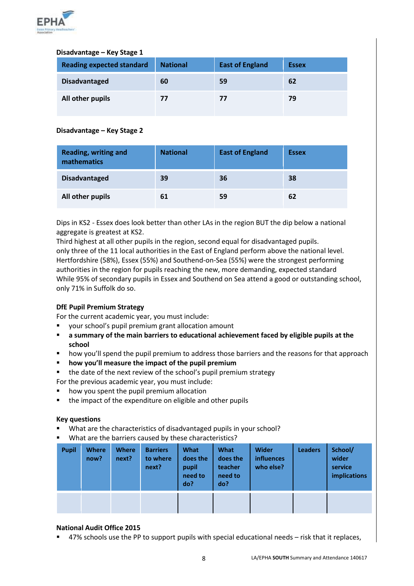

#### **Disadvantage – Key Stage 1**

| <b>Reading expected standard</b> | <b>National</b> | <b>East of England</b> | <b>Essex</b> |
|----------------------------------|-----------------|------------------------|--------------|
| <b>Disadvantaged</b>             | 60              | 59                     | 62           |
| All other pupils                 | 77              | 77                     | 79           |

#### **Disadvantage – Key Stage 2**

| <b>Reading, writing and</b><br>mathematics | <b>National</b> | <b>East of England</b> | <b>Essex</b> |
|--------------------------------------------|-----------------|------------------------|--------------|
| <b>Disadvantaged</b>                       | 39              | 36                     | 38           |
| All other pupils                           | 61              | 59                     | 62           |

Dips in KS2 - Essex does look better than other LAs in the region BUT the dip below a national aggregate is greatest at KS2.

Third highest at all other pupils in the region, second equal for disadvantaged pupils. only three of the 11 local authorities in the East of England perform above the national level. Hertfordshire (58%), Essex (55%) and Southend-on-Sea (55%) were the strongest performing authorities in the region for pupils reaching the new, more demanding, expected standard While 95% of secondary pupils in Essex and Southend on Sea attend a good or outstanding school, only 71% in Suffolk do so.

### **DfE Pupil Premium Strategy**

For the current academic year, you must include:

- your school's pupil premium grant allocation amount
- **a summary of the main barriers to educational achievement faced by eligible pupils at the school**
- **how you'll spend the pupil premium to address those barriers and the reasons for that approach**
- **how you'll measure the impact of the pupil premium**
- the date of the next review of the school's pupil premium strategy

For the previous academic year, you must include:

- how you spent the pupil premium allocation
- the impact of the expenditure on eligible and other pupils

#### **Key questions**

- What are the characteristics of disadvantaged pupils in your school?
- What are the barriers caused by these characteristics?

| <b>Pupil</b> | <b>Where</b><br>now? | <b>Where</b><br>next? | <b>Barriers</b><br>to where<br>next? | What<br>does the<br>pupil<br>need to<br>do? | What<br>does the<br>teacher<br>need to<br>do? | <b>Wider</b><br>influences<br>who else? | <b>Leaders</b> | School/<br>wider<br>service<br><b>implications</b> |
|--------------|----------------------|-----------------------|--------------------------------------|---------------------------------------------|-----------------------------------------------|-----------------------------------------|----------------|----------------------------------------------------|
|              |                      |                       |                                      |                                             |                                               |                                         |                |                                                    |

#### **National Audit Office 2015**

47% schools use the PP to support pupils with special educational needs – risk that it replaces,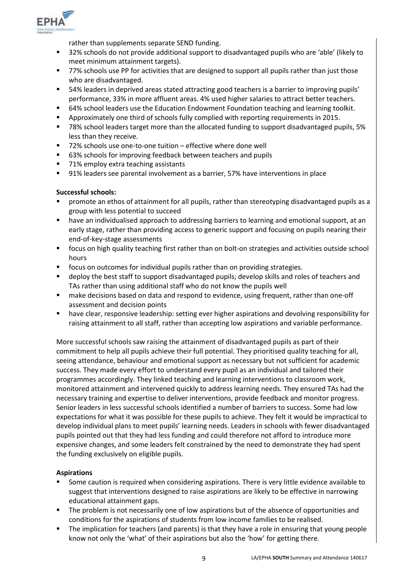

rather than supplements separate SEND funding.

- 32% schools do not provide additional support to disadvantaged pupils who are 'able' (likely to meet minimum attainment targets).
- 77% schools use PP for activities that are designed to support all pupils rather than just those who are disadvantaged.
- 54% leaders in deprived areas stated attracting good teachers is a barrier to improving pupils' performance, 33% in more affluent areas. 4% used higher salaries to attract better teachers.
- 64% school leaders use the Education Endowment Foundation teaching and learning toolkit.
- Approximately one third of schools fully complied with reporting requirements in 2015.
- 78% school leaders target more than the allocated funding to support disadvantaged pupils, 5% less than they receive.
- 72% schools use one-to-one tuition effective where done well
- 63% schools for improving feedback between teachers and pupils
- 71% employ extra teaching assistants
- 91% leaders see parental involvement as a barrier, 57% have interventions in place

#### **Successful schools:**

- promote an ethos of attainment for all pupils, rather than stereotyping disadvantaged pupils as a group with less potential to succeed
- have an individualised approach to addressing barriers to learning and emotional support, at an early stage, rather than providing access to generic support and focusing on pupils nearing their end-of-key-stage assessments
- focus on high quality teaching first rather than on bolt-on strategies and activities outside school hours
- focus on outcomes for individual pupils rather than on providing strategies.
- deploy the best staff to support disadvantaged pupils; develop skills and roles of teachers and TAs rather than using additional staff who do not know the pupils well
- **nake decisions based on data and respond to evidence, using frequent, rather than one-off** assessment and decision points
- have clear, responsive leadership: setting ever higher aspirations and devolving responsibility for raising attainment to all staff, rather than accepting low aspirations and variable performance.

More successful schools saw raising the attainment of disadvantaged pupils as part of their commitment to help all pupils achieve their full potential. They prioritised quality teaching for all, seeing attendance, behaviour and emotional support as necessary but not sufficient for academic success. They made every effort to understand every pupil as an individual and tailored their programmes accordingly. They linked teaching and learning interventions to classroom work, monitored attainment and intervened quickly to address learning needs. They ensured TAs had the necessary training and expertise to deliver interventions, provide feedback and monitor progress. Senior leaders in less successful schools identified a number of barriers to success. Some had low expectations for what it was possible for these pupils to achieve. They felt it would be impractical to develop individual plans to meet pupils' learning needs. Leaders in schools with fewer disadvantaged pupils pointed out that they had less funding and could therefore not afford to introduce more expensive changes, and some leaders felt constrained by the need to demonstrate they had spent the funding exclusively on eligible pupils.

#### **Aspirations**

- Some caution is required when considering aspirations. There is very little evidence available to suggest that interventions designed to raise aspirations are likely to be effective in narrowing educational attainment gaps.
- The problem is not necessarily one of low aspirations but of the absence of opportunities and conditions for the aspirations of students from low income families to be realised.
- The implication for teachers (and parents) is that they have a role in ensuring that young people know not only the 'what' of their aspirations but also the 'how' for getting there.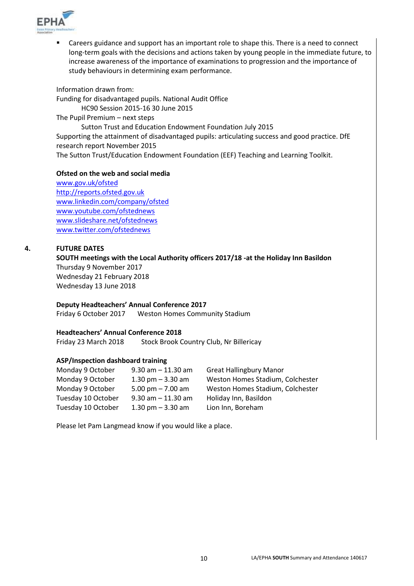

 Careers guidance and support has an important role to shape this. There is a need to connect long-term goals with the decisions and actions taken by young people in the immediate future, to increase awareness of the importance of examinations to progression and the importance of study behaviours in determining exam performance.

Information drawn from: Funding for disadvantaged pupils. National Audit Office HC90 Session 2015-16 30 June 2015 The Pupil Premium – next steps Sutton Trust and Education Endowment Foundation July 2015 Supporting the attainment of disadvantaged pupils: articulating success and good practice. DfE research report November 2015 The Sutton Trust/Education Endowment Foundation (EEF) Teaching and Learning Toolkit.

#### **Ofsted on the web and social media**

[www.gov.uk/ofsted](http://www.gov.uk/ofsted) [http://reports.ofsted.gov.uk](http://reports.ofsted.gov.uk/) [www.linkedin.com/company/ofsted](http://www.linkedin.com/company/ofsted) [www.youtube.com/ofstednews](http://www.youtube.com/ofstednews) [www.slideshare.net/ofstednews](http://www.slideshare.net/ofstednews) [www.twitter.com/ofstednews](http://www.twitter.com/ofstednews)

#### **4. FUTURE DATES**

**SOUTH meetings with the Local Authority officers 2017/18 -at the Holiday Inn Basildon** Thursday 9 November 2017 Wednesday 21 February 2018 Wednesday 13 June 2018

#### **Deputy Headteachers' Annual Conference 2017**

Friday 6 October 2017 Weston Homes Community Stadium

#### **Headteachers' Annual Conference 2018**

Friday 23 March 2018 Stock Brook Country Club, Nr Billericay

#### **ASP/Inspection dashboard training**

| $9.30$ am $-11.30$ am | <b>Great Hallingbury Manor</b>   |
|-----------------------|----------------------------------|
| 1.30 pm $-$ 3.30 am   | Weston Homes Stadium, Colchester |
| 5.00 pm $- 7.00$ am   | Weston Homes Stadium, Colchester |
| $9.30$ am $-11.30$ am | Holiday Inn, Basildon            |
| 1.30 pm $-$ 3.30 am   | Lion Inn, Boreham                |
|                       |                                  |

Please let Pam Langmead know if you would like a place.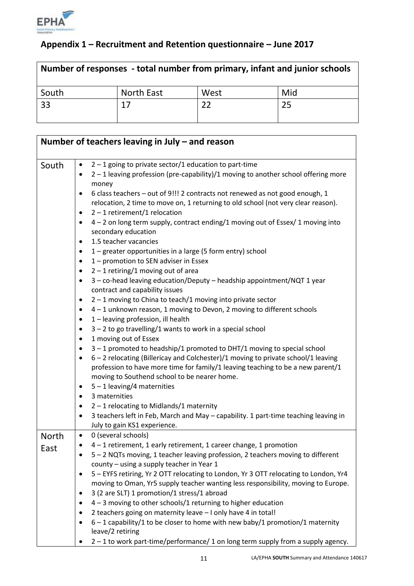

# **Appendix 1 – Recruitment and Retention questionnaire – June 2017**

| Number of responses - total number from primary, infant and junior schools |            |      |     |  |
|----------------------------------------------------------------------------|------------|------|-----|--|
| South                                                                      | North East | West | Mid |  |
| 33                                                                         | 17         |      | 25  |  |

|              | Number of teachers leaving in July $-$ and reason                                                                                            |
|--------------|----------------------------------------------------------------------------------------------------------------------------------------------|
| South        | $2 - 1$ going to private sector/1 education to part-time<br>$\bullet$                                                                        |
|              | 2 - 1 leaving profession (pre-capability)/1 moving to another school offering more                                                           |
|              | money                                                                                                                                        |
|              | 6 class teachers - out of 9!!! 2 contracts not renewed as not good enough, 1<br>$\bullet$                                                    |
|              | relocation, 2 time to move on, 1 returning to old school (not very clear reason).                                                            |
|              | $2 - 1$ retirement/1 relocation<br>٠                                                                                                         |
|              | 4 - 2 on long term supply, contract ending/1 moving out of Essex/ 1 moving into<br>$\bullet$                                                 |
|              | secondary education                                                                                                                          |
|              | 1.5 teacher vacancies<br>٠                                                                                                                   |
|              | 1 – greater opportunities in a large (5 form entry) school<br>$\bullet$                                                                      |
|              | 1 – promotion to SEN adviser in Essex<br>$\bullet$                                                                                           |
|              | $2 - 1$ retiring/1 moving out of area<br>٠                                                                                                   |
|              | 3 - co-head leaving education/Deputy - headship appointment/NQT 1 year<br>٠                                                                  |
|              | contract and capability issues                                                                                                               |
|              | $2 - 1$ moving to China to teach/1 moving into private sector<br>٠<br>4 - 1 unknown reason, 1 moving to Devon, 2 moving to different schools |
|              | ٠<br>1 - leaving profession, ill health<br>٠                                                                                                 |
|              | $3 - 2$ to go travelling/1 wants to work in a special school<br>٠                                                                            |
|              | 1 moving out of Essex<br>$\bullet$                                                                                                           |
|              | 3-1 promoted to headship/1 promoted to DHT/1 moving to special school<br>٠                                                                   |
|              | 6 - 2 relocating (Billericay and Colchester)/1 moving to private school/1 leaving<br>٠                                                       |
|              | profession to have more time for family/1 leaving teaching to be a new parent/1                                                              |
|              | moving to Southend school to be nearer home.                                                                                                 |
|              | $5 - 1$ leaving/4 maternities<br>٠                                                                                                           |
|              | 3 maternities<br>٠                                                                                                                           |
|              | $2 - 1$ relocating to Midlands/1 maternity<br>$\bullet$                                                                                      |
|              | 3 teachers left in Feb, March and May - capability. 1 part-time teaching leaving in<br>$\bullet$                                             |
|              | July to gain KS1 experience.                                                                                                                 |
| <b>North</b> | 0 (several schools)<br>$\bullet$                                                                                                             |
| East         | 4 - 1 retirement, 1 early retirement, 1 career change, 1 promotion<br>$\bullet$                                                              |
|              | 5 - 2 NQTs moving, 1 teacher leaving profession, 2 teachers moving to different                                                              |
|              | county - using a supply teacher in Year 1<br>5 - EYFS retiring, Yr 2 OTT relocating to London, Yr 3 OTT relocating to London, Yr4            |
|              | moving to Oman, Yr5 supply teacher wanting less responsibility, moving to Europe.                                                            |
|              | 3 (2 are SLT) 1 promotion/1 stress/1 abroad<br>$\bullet$                                                                                     |
|              | $4 - 3$ moving to other schools/1 returning to higher education<br>٠                                                                         |
|              | 2 teachers going on maternity leave - I only have 4 in total!                                                                                |
|              | $6 - 1$ capability/1 to be closer to home with new baby/1 promotion/1 maternity                                                              |
|              | leave/2 retiring                                                                                                                             |
|              | 2-1 to work part-time/performance/1 on long term supply from a supply agency.                                                                |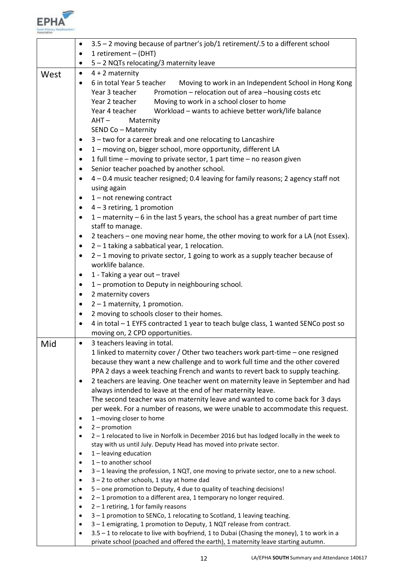

|      | $\bullet$              | 3.5 - 2 moving because of partner's job/1 retirement/.5 to a different school                                                                                                                                                                                                                                                                                                                        |
|------|------------------------|------------------------------------------------------------------------------------------------------------------------------------------------------------------------------------------------------------------------------------------------------------------------------------------------------------------------------------------------------------------------------------------------------|
|      | ٠                      | 1 retirement - (DHT)                                                                                                                                                                                                                                                                                                                                                                                 |
|      | ٠                      | 5 - 2 NQTs relocating/3 maternity leave                                                                                                                                                                                                                                                                                                                                                              |
| West | $\bullet$              | $4 + 2$ maternity                                                                                                                                                                                                                                                                                                                                                                                    |
|      | $\bullet$              | 6 in total Year 5 teacher<br>Moving to work in an Independent School in Hong Kong<br>Promotion - relocation out of area -housing costs etc<br>Year 3 teacher<br>Moving to work in a school closer to home<br>Year 2 teacher<br>Year 4 teacher<br>Workload - wants to achieve better work/life balance<br>$AHT -$<br>Maternity<br>SEND Co - Maternity                                                 |
|      | ٠                      | 3 - two for a career break and one relocating to Lancashire                                                                                                                                                                                                                                                                                                                                          |
|      | $\bullet$              | 1 - moving on, bigger school, more opportunity, different LA                                                                                                                                                                                                                                                                                                                                         |
|      | $\bullet$              | 1 full time - moving to private sector, 1 part time - no reason given                                                                                                                                                                                                                                                                                                                                |
|      | $\bullet$              | Senior teacher poached by another school.                                                                                                                                                                                                                                                                                                                                                            |
|      | $\bullet$              | 4 - 0.4 music teacher resigned; 0.4 leaving for family reasons; 2 agency staff not<br>using again                                                                                                                                                                                                                                                                                                    |
|      | $\bullet$              | $1$ – not renewing contract                                                                                                                                                                                                                                                                                                                                                                          |
|      | $\bullet$              | $4 - 3$ retiring, 1 promotion                                                                                                                                                                                                                                                                                                                                                                        |
|      | $\bullet$              | 1 - maternity - 6 in the last 5 years, the school has a great number of part time<br>staff to manage.                                                                                                                                                                                                                                                                                                |
|      | $\bullet$              | 2 teachers – one moving near home, the other moving to work for a LA (not Essex).                                                                                                                                                                                                                                                                                                                    |
|      | $\bullet$              | $2 - 1$ taking a sabbatical year, 1 relocation.                                                                                                                                                                                                                                                                                                                                                      |
|      | $\bullet$              | 2 - 1 moving to private sector, 1 going to work as a supply teacher because of<br>worklife balance.                                                                                                                                                                                                                                                                                                  |
|      | $\bullet$              | 1 - Taking a year out - travel                                                                                                                                                                                                                                                                                                                                                                       |
|      | $\bullet$              | 1 - promotion to Deputy in neighbouring school.                                                                                                                                                                                                                                                                                                                                                      |
|      | $\bullet$              | 2 maternity covers                                                                                                                                                                                                                                                                                                                                                                                   |
|      | $\bullet$              | $2 - 1$ maternity, 1 promotion.                                                                                                                                                                                                                                                                                                                                                                      |
|      | $\bullet$              | 2 moving to schools closer to their homes.                                                                                                                                                                                                                                                                                                                                                           |
|      | $\bullet$              | 4 in total - 1 EYFS contracted 1 year to teach bulge class, 1 wanted SENCo post so                                                                                                                                                                                                                                                                                                                   |
|      |                        | moving on, 2 CPD opportunities.                                                                                                                                                                                                                                                                                                                                                                      |
| Mid  | $\bullet$              | 3 teachers leaving in total.                                                                                                                                                                                                                                                                                                                                                                         |
|      | $\bullet$              | 1 linked to maternity cover / Other two teachers work part-time - one resigned<br>because they want a new challenge and to work full time and the other covered<br>PPA 2 days a week teaching French and wants to revert back to supply teaching.<br>2 teachers are leaving. One teacher went on maternity leave in September and had<br>always intended to leave at the end of her maternity leave. |
|      | ٠                      | The second teacher was on maternity leave and wanted to come back for 3 days<br>per week. For a number of reasons, we were unable to accommodate this request.<br>1-moving closer to home                                                                                                                                                                                                            |
|      | $\bullet$              | $2$ – promotion                                                                                                                                                                                                                                                                                                                                                                                      |
|      |                        | 2-1 relocated to live in Norfolk in December 2016 but has lodged locally in the week to                                                                                                                                                                                                                                                                                                              |
|      |                        | stay with us until July. Deputy Head has moved into private sector.                                                                                                                                                                                                                                                                                                                                  |
|      | $\bullet$              | $1$ – leaving education                                                                                                                                                                                                                                                                                                                                                                              |
|      | $\bullet$              | $1$ – to another school                                                                                                                                                                                                                                                                                                                                                                              |
|      | $\bullet$              | $3 - 1$ leaving the profession, 1 NQT, one moving to private sector, one to a new school.                                                                                                                                                                                                                                                                                                            |
|      | $\bullet$              | $3 - 2$ to other schools, 1 stay at home dad                                                                                                                                                                                                                                                                                                                                                         |
|      | $\bullet$              | 5 - one promotion to Deputy, 4 due to quality of teaching decisions!                                                                                                                                                                                                                                                                                                                                 |
|      | $\bullet$              | 2-1 promotion to a different area, 1 temporary no longer required.                                                                                                                                                                                                                                                                                                                                   |
|      | $\bullet$<br>$\bullet$ | $2 - 1$ retiring, 1 for family reasons<br>3-1 promotion to SENCo, 1 relocating to Scotland, 1 leaving teaching.                                                                                                                                                                                                                                                                                      |
|      | $\bullet$              | 3 - 1 emigrating, 1 promotion to Deputy, 1 NQT release from contract.                                                                                                                                                                                                                                                                                                                                |
|      | ٠                      | 3.5 - 1 to relocate to live with boyfriend, 1 to Dubai (Chasing the money), 1 to work in a                                                                                                                                                                                                                                                                                                           |
|      |                        | private school (poached and offered the earth), 1 maternity leave starting autumn.                                                                                                                                                                                                                                                                                                                   |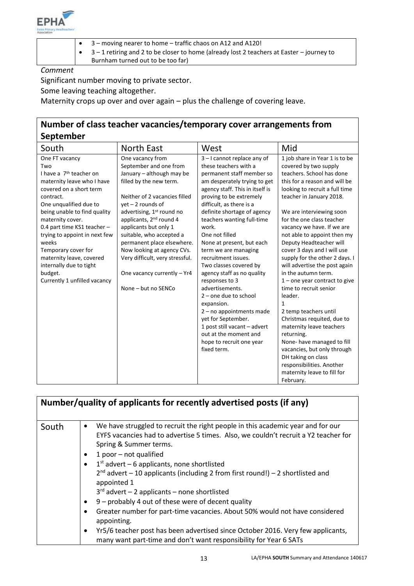

- 3 moving nearer to home traffic chaos on A12 and A120!
- 3 1 retiring and 2 to be closer to home (already lost 2 teachers at Easter journey to

Burnham turned out to be too far)

*Comment*

Significant number moving to private sector.

Some leaving teaching altogether.

Maternity crops up over and over again – plus the challenge of covering leave.

## **Number of class teacher vacancies/temporary cover arrangements from September**

| -p                                  |                                       |                                 |                                 |
|-------------------------------------|---------------------------------------|---------------------------------|---------------------------------|
| South                               | <b>North East</b>                     | West                            | Mid                             |
| One FT vacancy                      | One vacancy from                      | 3-I cannot replace any of       | 1 job share in Year 1 is to be  |
| Two                                 | September and one from                | these teachers with a           | covered by two supply           |
| I have a 7 <sup>th</sup> teacher on | January - although may be             | permanent staff member so       | teachers. School has done       |
| maternity leave who I have          | filled by the new term.               | am desperately trying to get    | this for a reason and will be   |
| covered on a short term             |                                       | agency staff. This in itself is | looking to recruit a full time  |
| contract.                           | Neither of 2 vacancies filled         | proving to be extremely         | teacher in January 2018.        |
| One unqualified due to              | $yet - 2 rounds of$                   | difficult, as there is a        |                                 |
| being unable to find quality        | advertising, 1 <sup>st</sup> round no | definite shortage of agency     | We are interviewing soon        |
| maternity cover.                    | applicants, 2 <sup>nd</sup> round 4   | teachers wanting full-time      | for the one class teacher       |
| 0.4 part time KS1 teacher -         | applicants but only 1                 | work.                           | vacancy we have. If we are      |
| trying to appoint in next few       | suitable, who accepted a              | One not filled                  | not able to appoint then my     |
| weeks                               | permanent place elsewhere.            | None at present, but each       | Deputy Headteacher will         |
| Temporary cover for                 | Now looking at agency CVs.            | term we are managing            | cover 3 days and I will use     |
| maternity leave, covered            | Very difficult, very stressful.       | recruitment issues.             | supply for the other 2 days. I  |
| internally due to tight             |                                       | Two classes covered by          | will advertise the post again   |
| budget.                             | One vacancy currently - Yr4           | agency staff as no quality      | in the autumn term.             |
| Currently 1 unfilled vacancy        |                                       | responses to 3                  | $1$ – one year contract to give |
|                                     | None - but no SENCo                   | advertisements.                 | time to recruit senior          |
|                                     |                                       | $2$ – one due to school         | leader.                         |
|                                     |                                       | expansion.                      | $\mathbf{1}$                    |
|                                     |                                       | $2 - no$ appointments made      | 2 temp teachers until           |
|                                     |                                       | yet for September.              | Christmas requited, due to      |
|                                     |                                       | 1 post still vacant - advert    | maternity leave teachers        |
|                                     |                                       | out at the moment and           | returning.                      |
|                                     |                                       | hope to recruit one year        | None-have managed to fill       |
|                                     |                                       | fixed term.                     | vacancies, but only through     |
|                                     |                                       |                                 | DH taking on class              |
|                                     |                                       |                                 | responsibilities. Another       |
|                                     |                                       |                                 | maternity leave to fill for     |
|                                     |                                       |                                 | February.                       |

| Number/quality of applicants for recently advertised posts (if any) |                                                                                                                                                                                                                                                                                                                                                                                                                                                                                                                                                                                                                                                                                                                                                                                                                 |  |
|---------------------------------------------------------------------|-----------------------------------------------------------------------------------------------------------------------------------------------------------------------------------------------------------------------------------------------------------------------------------------------------------------------------------------------------------------------------------------------------------------------------------------------------------------------------------------------------------------------------------------------------------------------------------------------------------------------------------------------------------------------------------------------------------------------------------------------------------------------------------------------------------------|--|
| South                                                               | We have struggled to recruit the right people in this academic year and for our<br>٠<br>EYFS vacancies had to advertise 5 times. Also, we couldn't recruit a Y2 teacher for<br>Spring & Summer terms.<br>1 poor $-$ not qualified<br>٠<br>$1st$ advert – 6 applicants, none shortlisted<br>$\bullet$<br>$2^{nd}$ advert – 10 applicants (including 2 from first round!) – 2 shortlisted and<br>appointed 1<br>$3rd$ advert - 2 applicants - none shortlisted<br>9 - probably 4 out of these were of decent quality<br>$\bullet$<br>Greater number for part-time vacancies. About 50% would not have considered<br>$\bullet$<br>appointing.<br>Yr5/6 teacher post has been advertised since October 2016. Very few applicants,<br>$\bullet$<br>many want part-time and don't want responsibility for Year 6 SATs |  |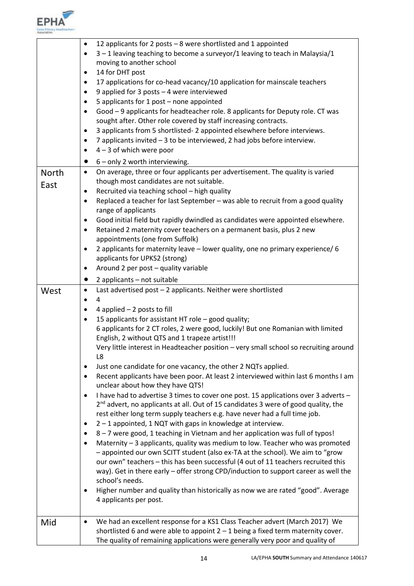

|              | 12 applicants for 2 posts $-8$ were shortlisted and 1 appointed<br>$\bullet$<br>$3 - 1$ leaving teaching to become a surveyor/1 leaving to teach in Malaysia/1<br>$\bullet$<br>moving to another school<br>14 for DHT post<br>$\bullet$<br>17 applications for co-head vacancy/10 application for mainscale teachers<br>٠<br>9 applied for 3 posts - 4 were interviewed<br>٠ |
|--------------|------------------------------------------------------------------------------------------------------------------------------------------------------------------------------------------------------------------------------------------------------------------------------------------------------------------------------------------------------------------------------|
|              | 5 applicants for 1 post - none appointed<br>$\bullet$<br>Good - 9 applicants for headteacher role. 8 applicants for Deputy role. CT was<br>$\bullet$                                                                                                                                                                                                                         |
|              | sought after. Other role covered by staff increasing contracts.                                                                                                                                                                                                                                                                                                              |
|              | 3 applicants from 5 shortlisted-2 appointed elsewhere before interviews.<br>٠                                                                                                                                                                                                                                                                                                |
|              | 7 applicants invited - 3 to be interviewed, 2 had jobs before interview.<br>٠<br>$4 - 3$ of which were poor<br>٠                                                                                                                                                                                                                                                             |
|              | $6$ – only 2 worth interviewing.<br>$\bullet$                                                                                                                                                                                                                                                                                                                                |
| <b>North</b> | On average, three or four applicants per advertisement. The quality is varied<br>$\bullet$                                                                                                                                                                                                                                                                                   |
| East         | though most candidates are not suitable.                                                                                                                                                                                                                                                                                                                                     |
|              | Recruited via teaching school - high quality<br>٠                                                                                                                                                                                                                                                                                                                            |
|              | Replaced a teacher for last September - was able to recruit from a good quality<br>$\bullet$<br>range of applicants                                                                                                                                                                                                                                                          |
|              | Good initial field but rapidly dwindled as candidates were appointed elsewhere.<br>٠                                                                                                                                                                                                                                                                                         |
|              | Retained 2 maternity cover teachers on a permanent basis, plus 2 new<br>٠                                                                                                                                                                                                                                                                                                    |
|              | appointments (one from Suffolk)<br>2 applicants for maternity leave - lower quality, one no primary experience/ 6                                                                                                                                                                                                                                                            |
|              | $\bullet$<br>applicants for UPKS2 (strong)                                                                                                                                                                                                                                                                                                                                   |
|              | Around 2 per post - quality variable<br>٠                                                                                                                                                                                                                                                                                                                                    |
|              | 2 applicants - not suitable<br>$\bullet$                                                                                                                                                                                                                                                                                                                                     |
| West         | Last advertised post - 2 applicants. Neither were shortlisted<br>$\bullet$                                                                                                                                                                                                                                                                                                   |
|              | 4<br>$\bullet$                                                                                                                                                                                                                                                                                                                                                               |
|              | 4 applied $-2$ posts to fill<br>٠                                                                                                                                                                                                                                                                                                                                            |
|              | 15 applicants for assistant HT role - good quality;<br>$\bullet$<br>6 applicants for 2 CT roles, 2 were good, luckily! But one Romanian with limited                                                                                                                                                                                                                         |
|              | English, 2 without QTS and 1 trapeze artist!!!                                                                                                                                                                                                                                                                                                                               |
|              | Very little interest in Headteacher position - very small school so recruiting around<br>L8                                                                                                                                                                                                                                                                                  |
|              | Just one candidate for one vacancy, the other 2 NQTs applied.<br>٠                                                                                                                                                                                                                                                                                                           |
|              | Recent applicants have been poor. At least 2 interviewed within last 6 months I am<br>$\bullet$                                                                                                                                                                                                                                                                              |
|              | unclear about how they have QTS!                                                                                                                                                                                                                                                                                                                                             |
|              | I have had to advertise 3 times to cover one post. 15 applications over 3 adverts -<br>$\bullet$                                                                                                                                                                                                                                                                             |
|              | 2 <sup>nd</sup> advert, no applicants at all. Out of 15 candidates 3 were of good quality, the<br>rest either long term supply teachers e.g. have never had a full time job.                                                                                                                                                                                                 |
|              | 2 - 1 appointed, 1 NQT with gaps in knowledge at interview.<br>٠                                                                                                                                                                                                                                                                                                             |
|              | 8-7 were good, 1 teaching in Vietnam and her application was full of typos!<br>٠                                                                                                                                                                                                                                                                                             |
|              | Maternity - 3 applicants, quality was medium to low. Teacher who was promoted<br>$\bullet$                                                                                                                                                                                                                                                                                   |
|              | - appointed our own SCITT student (also ex-TA at the school). We aim to "grow                                                                                                                                                                                                                                                                                                |
|              | our own" teachers - this has been successful (4 out of 11 teachers recruited this<br>way). Get in there early - offer strong CPD/induction to support career as well the                                                                                                                                                                                                     |
|              | school's needs.                                                                                                                                                                                                                                                                                                                                                              |
|              | Higher number and quality than historically as now we are rated "good". Average<br>٠                                                                                                                                                                                                                                                                                         |
|              | 4 applicants per post.                                                                                                                                                                                                                                                                                                                                                       |
|              | We had an excellent response for a KS1 Class Teacher advert (March 2017) We<br>٠                                                                                                                                                                                                                                                                                             |
| Mid          | shortlisted 6 and were able to appoint $2 - 1$ being a fixed term maternity cover.                                                                                                                                                                                                                                                                                           |
|              | The quality of remaining applications were generally very poor and quality of                                                                                                                                                                                                                                                                                                |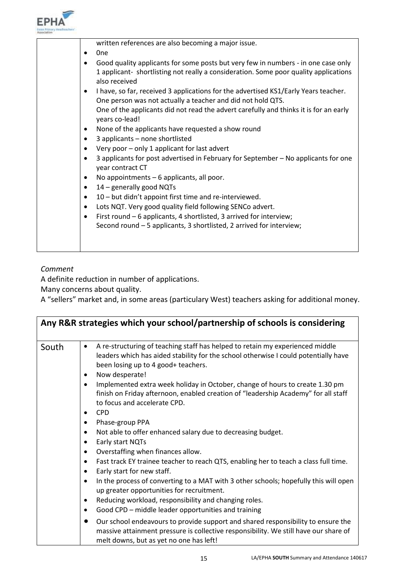

| written references are also becoming a major issue.                                                                                                                       |
|---------------------------------------------------------------------------------------------------------------------------------------------------------------------------|
| 0 <sub>ne</sub><br>٠                                                                                                                                                      |
| Good quality applicants for some posts but very few in numbers - in one case only<br>1 applicant- shortlisting not really a consideration. Some poor quality applications |
| also received                                                                                                                                                             |
| I have, so far, received 3 applications for the advertised KS1/Early Years teacher.<br>One person was not actually a teacher and did not hold QTS.                        |
| One of the applicants did not read the advert carefully and thinks it is for an early<br>years co-lead!                                                                   |
| None of the applicants have requested a show round<br>٠                                                                                                                   |
| 3 applicants - none shortlisted<br>٠                                                                                                                                      |
| Very poor - only 1 applicant for last advert                                                                                                                              |
| 3 applicants for post advertised in February for September - No applicants for one<br>year contract CT                                                                    |
| No appointments - 6 applicants, all poor.                                                                                                                                 |
| 14 - generally good NQTs                                                                                                                                                  |
| 10 - but didn't appoint first time and re-interviewed.<br>٠                                                                                                               |
| Lots NQT. Very good quality field following SENCo advert.<br>$\bullet$                                                                                                    |
| First round - 6 applicants, 4 shortlisted, 3 arrived for interview;<br>٠                                                                                                  |
| Second round - 5 applicants, 3 shortlisted, 2 arrived for interview;                                                                                                      |
|                                                                                                                                                                           |
|                                                                                                                                                                           |
|                                                                                                                                                                           |

## *Comment*

A definite reduction in number of applications.

Many concerns about quality.

A "sellers" market and, in some areas (particulary West) teachers asking for additional money.

| Any R&R strategies which your school/partnership of schools is considering |                                                                                                                                                                                                                                                 |  |
|----------------------------------------------------------------------------|-------------------------------------------------------------------------------------------------------------------------------------------------------------------------------------------------------------------------------------------------|--|
| South                                                                      | A re-structuring of teaching staff has helped to retain my experienced middle<br>$\bullet$<br>leaders which has aided stability for the school otherwise I could potentially have<br>been losing up to 4 good+ teachers.<br>Now desperate!<br>٠ |  |
|                                                                            | Implemented extra week holiday in October, change of hours to create 1.30 pm<br>٠<br>finish on Friday afternoon, enabled creation of "leadership Academy" for all staff<br>to focus and accelerate CPD.<br><b>CPD</b><br>$\bullet$              |  |
|                                                                            | Phase-group PPA<br>٠<br>Not able to offer enhanced salary due to decreasing budget.<br>٠                                                                                                                                                        |  |
|                                                                            | Early start NQTs<br>٠<br>Overstaffing when finances allow.<br>٠                                                                                                                                                                                 |  |
|                                                                            | Fast track EY trainee teacher to reach QTS, enabling her to teach a class full time.<br>$\bullet$<br>Early start for new staff.<br>٠                                                                                                            |  |
|                                                                            | In the process of converting to a MAT with 3 other schools; hopefully this will open<br>٠<br>up greater opportunities for recruitment.                                                                                                          |  |
|                                                                            | Reducing workload, responsibility and changing roles.<br>Good CPD - middle leader opportunities and training<br>٠                                                                                                                               |  |
|                                                                            | Our school endeavours to provide support and shared responsibility to ensure the<br>$\bullet$<br>massive attainment pressure is collective responsibility. We still have our share of<br>melt downs, but as yet no one has left!                |  |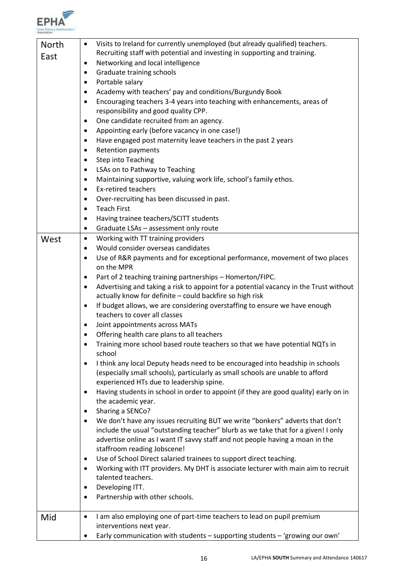

| North | Visits to Ireland for currently unemployed (but already qualified) teachers.<br>$\bullet$  |  |
|-------|--------------------------------------------------------------------------------------------|--|
| East  | Recruiting staff with potential and investing in supporting and training.                  |  |
|       | Networking and local intelligence<br>٠                                                     |  |
|       | Graduate training schools<br>٠                                                             |  |
|       | Portable salary<br>٠                                                                       |  |
|       | Academy with teachers' pay and conditions/Burgundy Book<br>$\bullet$                       |  |
|       | Encouraging teachers 3-4 years into teaching with enhancements, areas of<br>$\bullet$      |  |
|       | responsibility and good quality CPP.                                                       |  |
|       | One candidate recruited from an agency.<br>$\bullet$                                       |  |
|       | Appointing early (before vacancy in one case!)<br>٠                                        |  |
|       | Have engaged post maternity leave teachers in the past 2 years<br>٠                        |  |
|       | <b>Retention payments</b><br>٠                                                             |  |
|       | <b>Step into Teaching</b><br>$\bullet$                                                     |  |
|       | LSAs on to Pathway to Teaching<br>٠                                                        |  |
|       | Maintaining supportive, valuing work life, school's family ethos.<br>٠                     |  |
|       | <b>Ex-retired teachers</b><br>٠                                                            |  |
|       | Over-recruiting has been discussed in past.<br>$\bullet$                                   |  |
|       | <b>Teach First</b><br>٠                                                                    |  |
|       | Having trainee teachers/SCITT students<br>$\bullet$                                        |  |
|       | Graduate LSAs - assessment only route<br>٠                                                 |  |
| West  | Working with TT training providers<br>$\bullet$                                            |  |
|       | Would consider overseas candidates<br>$\bullet$                                            |  |
|       | Use of R&R payments and for exceptional performance, movement of two places<br>٠           |  |
|       | on the MPR                                                                                 |  |
|       | Part of 2 teaching training partnerships - Homerton/FIPC.<br>٠                             |  |
|       | Advertising and taking a risk to appoint for a potential vacancy in the Trust without<br>٠ |  |
|       | actually know for definite - could backfire so high risk                                   |  |
|       | If budget allows, we are considering overstaffing to ensure we have enough<br>٠            |  |
|       | teachers to cover all classes                                                              |  |
|       | Joint appointments across MATs<br>٠                                                        |  |
|       | Offering health care plans to all teachers<br>$\bullet$                                    |  |
|       | Training more school based route teachers so that we have potential NQTs in                |  |
|       | school                                                                                     |  |
|       | I think any local Deputy heads need to be encouraged into headship in schools<br>٠         |  |
|       | (especially small schools), particularly as small schools are unable to afford             |  |
|       | experienced HTs due to leadership spine.                                                   |  |
|       | Having students in school in order to appoint (if they are good quality) early on in<br>٠  |  |
|       | the academic year.                                                                         |  |
|       | Sharing a SENCo?<br>٠                                                                      |  |
|       | We don't have any issues recruiting BUT we write "bonkers" adverts that don't<br>٠         |  |
|       | include the usual "outstanding teacher" blurb as we take that for a given! I only          |  |
|       | advertise online as I want IT savvy staff and not people having a moan in the              |  |
|       | staffroom reading Jobscene!                                                                |  |
|       | Use of School Direct salaried trainees to support direct teaching.<br>٠                    |  |
|       | Working with ITT providers. My DHT is associate lecturer with main aim to recruit<br>٠     |  |
|       | talented teachers.                                                                         |  |
|       | Developing ITT.<br>٠                                                                       |  |
|       | Partnership with other schools.                                                            |  |
| Mid   | I am also employing one of part-time teachers to lead on pupil premium<br>٠                |  |
|       | interventions next year.                                                                   |  |
|       | Early communication with students - supporting students - 'growing our own'<br>٠           |  |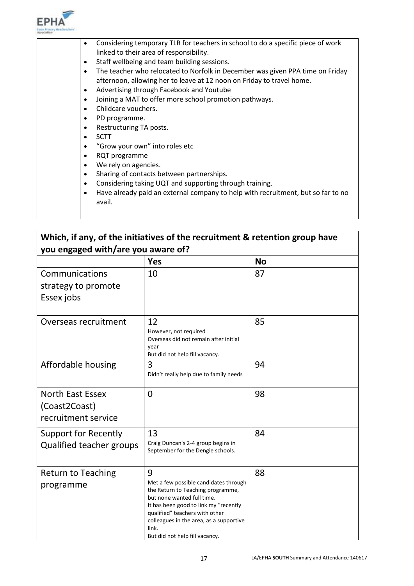

|  | Considering temporary TLR for teachers in school to do a specific piece of work<br>٠<br>linked to their area of responsibility. |
|--|---------------------------------------------------------------------------------------------------------------------------------|
|  |                                                                                                                                 |
|  | Staff wellbeing and team building sessions.<br>$\bullet$                                                                        |
|  | The teacher who relocated to Norfolk in December was given PPA time on Friday<br>$\bullet$                                      |
|  | afternoon, allowing her to leave at 12 noon on Friday to travel home.                                                           |
|  | Advertising through Facebook and Youtube<br>$\bullet$                                                                           |
|  | Joining a MAT to offer more school promotion pathways.<br>$\bullet$                                                             |
|  | Childcare vouchers.<br>$\bullet$                                                                                                |
|  | PD programme.<br>٠                                                                                                              |
|  | Restructuring TA posts.<br>$\bullet$                                                                                            |
|  | <b>SCTT</b><br>$\bullet$                                                                                                        |
|  | "Grow your own" into roles etc<br>$\bullet$                                                                                     |
|  | RQT programme<br>$\bullet$                                                                                                      |
|  | We rely on agencies.<br>$\bullet$                                                                                               |
|  | Sharing of contacts between partnerships.<br>$\bullet$                                                                          |
|  | Considering taking UQT and supporting through training.<br>$\bullet$                                                            |
|  | Have already paid an external company to help with recruitment, but so far to no<br>٠                                           |
|  | avail.                                                                                                                          |
|  |                                                                                                                                 |
|  |                                                                                                                                 |

## **Which, if any, of the initiatives of the recruitment & retention group have you engaged with/are you aware of?**

|                                                                 | <b>Yes</b>                                                                                                                                                                                                                                                                     | <b>No</b> |
|-----------------------------------------------------------------|--------------------------------------------------------------------------------------------------------------------------------------------------------------------------------------------------------------------------------------------------------------------------------|-----------|
| Communications<br>strategy to promote<br>Essex jobs             | 10                                                                                                                                                                                                                                                                             | 87        |
| Overseas recruitment                                            | 12<br>However, not required<br>Overseas did not remain after initial<br>year<br>But did not help fill vacancy.                                                                                                                                                                 | 85        |
| Affordable housing                                              | 3<br>Didn't really help due to family needs                                                                                                                                                                                                                                    | 94        |
| <b>North East Essex</b><br>(Coast2Coast)<br>recruitment service | $\overline{0}$                                                                                                                                                                                                                                                                 | 98        |
| <b>Support for Recently</b><br><b>Qualified teacher groups</b>  | 13<br>Craig Duncan's 2-4 group begins in<br>September for the Dengie schools.                                                                                                                                                                                                  | 84        |
| <b>Return to Teaching</b><br>programme                          | 9<br>Met a few possible candidates through<br>the Return to Teaching programme,<br>but none wanted full time.<br>It has been good to link my "recently<br>qualified" teachers with other<br>colleagues in the area, as a supportive<br>link.<br>But did not help fill vacancy. | 88        |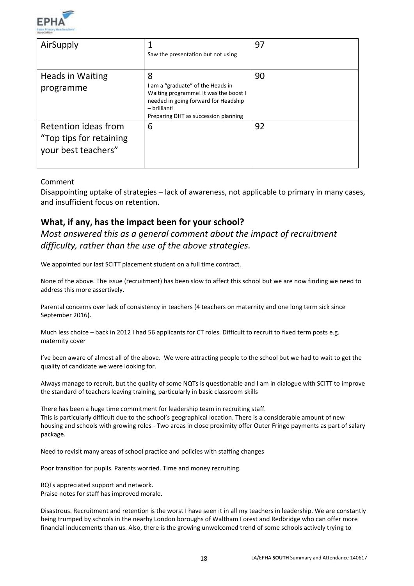

| AirSupply                                                              | Saw the presentation but not using                                                                                                                                                | 97 |
|------------------------------------------------------------------------|-----------------------------------------------------------------------------------------------------------------------------------------------------------------------------------|----|
| <b>Heads in Waiting</b><br>programme                                   | 8<br>I am a "graduate" of the Heads in<br>Waiting programme! It was the boost I<br>needed in going forward for Headship<br>$-$ brilliant!<br>Preparing DHT as succession planning | 90 |
| Retention ideas from<br>"Top tips for retaining<br>your best teachers" | 6                                                                                                                                                                                 | 92 |

#### Comment

Disappointing uptake of strategies – lack of awareness, not applicable to primary in many cases, and insufficient focus on retention.

## **What, if any, has the impact been for your school?**

*Most answered this as a general comment about the impact of recruitment difficulty, rather than the use of the above strategies.*

We appointed our last SCITT placement student on a full time contract.

None of the above. The issue (recruitment) has been slow to affect this school but we are now finding we need to address this more assertively.

Parental concerns over lack of consistency in teachers (4 teachers on maternity and one long term sick since September 2016).

Much less choice – back in 2012 I had 56 applicants for CT roles. Difficult to recruit to fixed term posts e.g. maternity cover

I've been aware of almost all of the above. We were attracting people to the school but we had to wait to get the quality of candidate we were looking for.

Always manage to recruit, but the quality of some NQTs is questionable and I am in dialogue with SCITT to improve the standard of teachers leaving training, particularly in basic classroom skills

There has been a huge time commitment for leadership team in recruiting staff. This is particularly difficult due to the school's geographical location. There is a considerable amount of new housing and schools with growing roles - Two areas in close proximity offer Outer Fringe payments as part of salary package.

Need to revisit many areas of school practice and policies with staffing changes

Poor transition for pupils. Parents worried. Time and money recruiting.

RQTs appreciated support and network. Praise notes for staff has improved morale.

Disastrous. Recruitment and retention is the worst I have seen it in all my teachers in leadership. We are constantly being trumped by schools in the nearby London boroughs of Waltham Forest and Redbridge who can offer more financial inducements than us. Also, there is the growing unwelcomed trend of some schools actively trying to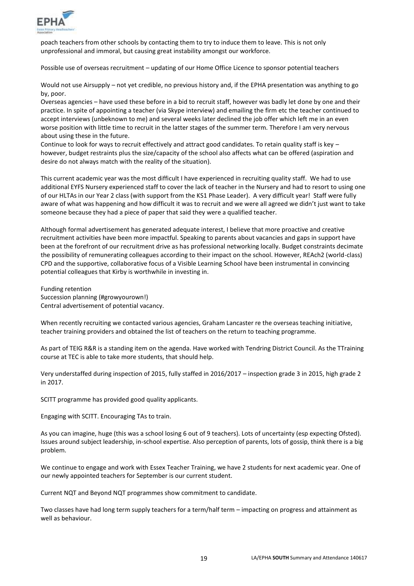

poach teachers from other schools by contacting them to try to induce them to leave. This is not only unprofessional and immoral, but causing great instability amongst our workforce.

Possible use of overseas recruitment – updating of our Home Office Licence to sponsor potential teachers

Would not use Airsupply – not yet credible, no previous history and, if the EPHA presentation was anything to go by, poor.

Overseas agencies – have used these before in a bid to recruit staff, however was badly let done by one and their practice. In spite of appointing a teacher (via Skype interview) and emailing the firm etc the teacher continued to accept interviews (unbeknown to me) and several weeks later declined the job offer which left me in an even worse position with little time to recruit in the latter stages of the summer term. Therefore I am very nervous about using these in the future.

Continue to look for ways to recruit effectively and attract good candidates. To retain quality staff is key – however, budget restraints plus the size/capacity of the school also affects what can be offered (aspiration and desire do not always match with the reality of the situation).

This current academic year was the most difficult I have experienced in recruiting quality staff. We had to use additional EYFS Nursery experienced staff to cover the lack of teacher in the Nursery and had to resort to using one of our HLTAs in our Year 2 class (with support from the KS1 Phase Leader). A very difficult year! Staff were fully aware of what was happening and how difficult it was to recruit and we were all agreed we didn't just want to take someone because they had a piece of paper that said they were a qualified teacher.

Although formal advertisement has generated adequate interest, I believe that more proactive and creative recruitment activities have been more impactful. Speaking to parents about vacancies and gaps in support have been at the forefront of our recruitment drive as has professional networking locally. Budget constraints decimate the possibility of remunerating colleagues according to their impact on the school. However, REAch2 (world-class) CPD and the supportive, collaborative focus of a Visible Learning School have been instrumental in convincing potential colleagues that Kirby is worthwhile in investing in.

Funding retention Succession planning (#growyourown!) Central advertisement of potential vacancy.

When recently recruiting we contacted various agencies, Graham Lancaster re the overseas teaching initiative, teacher training providers and obtained the list of teachers on the return to teaching programme.

As part of TEIG R&R is a standing item on the agenda. Have worked with Tendring District Council. As the TTraining course at TEC is able to take more students, that should help.

Very understaffed during inspection of 2015, fully staffed in 2016/2017 – inspection grade 3 in 2015, high grade 2 in 2017.

SCITT programme has provided good quality applicants.

Engaging with SCITT. Encouraging TAs to train.

As you can imagine, huge (this was a school losing 6 out of 9 teachers). Lots of uncertainty (esp expecting Ofsted). Issues around subject leadership, in-school expertise. Also perception of parents, lots of gossip, think there is a big problem.

We continue to engage and work with Essex Teacher Training, we have 2 students for next academic year. One of our newly appointed teachers for September is our current student.

Current NQT and Beyond NQT programmes show commitment to candidate.

Two classes have had long term supply teachers for a term/half term – impacting on progress and attainment as well as behaviour.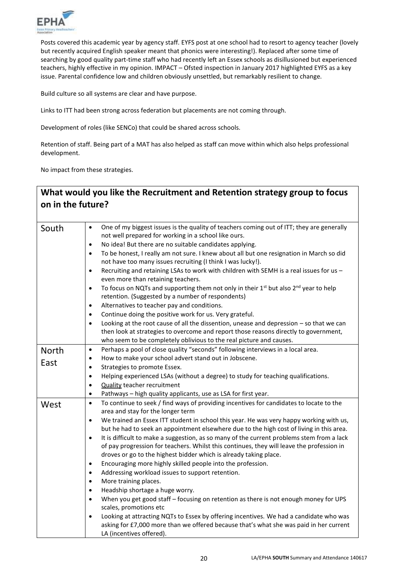

Posts covered this academic year by agency staff. EYFS post at one school had to resort to agency teacher (lovely but recently acquired English speaker meant that phonics were interesting!). Replaced after some time of searching by good quality part-time staff who had recently left an Essex schools as disillusioned but experienced teachers, highly effective in my opinion. IMPACT – Ofsted inspection in January 2017 highlighted EYFS as a key issue. Parental confidence low and children obviously unsettled, but remarkably resilient to change.

Build culture so all systems are clear and have purpose.

Links to ITT had been strong across federation but placements are not coming through.

Development of roles (like SENCo) that could be shared across schools.

Retention of staff. Being part of a MAT has also helped as staff can move within which also helps professional development.

No impact from these strategies.

## **What would you like the Recruitment and Retention strategy group to focus on in the future?**

| South        | One of my biggest issues is the quality of teachers coming out of ITT; they are generally<br>$\bullet$<br>not well prepared for working in a school like ours.<br>No idea! But there are no suitable candidates applying.<br>$\bullet$<br>To be honest, I really am not sure. I knew about all but one resignation in March so did<br>$\bullet$<br>not have too many issues recruiting (I think I was lucky!).<br>Recruiting and retaining LSAs to work with children with SEMH is a real issues for us -<br>$\bullet$<br>even more than retaining teachers.<br>To focus on NQTs and supporting them not only in their 1 <sup>st</sup> but also 2 <sup>nd</sup> year to help<br>$\bullet$<br>retention. (Suggested by a number of respondents)<br>Alternatives to teacher pay and conditions.<br>$\bullet$<br>Continue doing the positive work for us. Very grateful.<br>$\bullet$<br>Looking at the root cause of all the dissention, unease and depression - so that we can<br>$\bullet$<br>then look at strategies to overcome and report those reasons directly to government,<br>who seem to be completely oblivious to the real picture and causes. |
|--------------|-----------------------------------------------------------------------------------------------------------------------------------------------------------------------------------------------------------------------------------------------------------------------------------------------------------------------------------------------------------------------------------------------------------------------------------------------------------------------------------------------------------------------------------------------------------------------------------------------------------------------------------------------------------------------------------------------------------------------------------------------------------------------------------------------------------------------------------------------------------------------------------------------------------------------------------------------------------------------------------------------------------------------------------------------------------------------------------------------------------------------------------------------------------|
|              |                                                                                                                                                                                                                                                                                                                                                                                                                                                                                                                                                                                                                                                                                                                                                                                                                                                                                                                                                                                                                                                                                                                                                           |
| <b>North</b> | Perhaps a pool of close quality "seconds" following interviews in a local area.<br>$\bullet$                                                                                                                                                                                                                                                                                                                                                                                                                                                                                                                                                                                                                                                                                                                                                                                                                                                                                                                                                                                                                                                              |
| East         | How to make your school advert stand out in Jobscene.<br>$\bullet$                                                                                                                                                                                                                                                                                                                                                                                                                                                                                                                                                                                                                                                                                                                                                                                                                                                                                                                                                                                                                                                                                        |
|              | Strategies to promote Essex.<br>$\bullet$                                                                                                                                                                                                                                                                                                                                                                                                                                                                                                                                                                                                                                                                                                                                                                                                                                                                                                                                                                                                                                                                                                                 |
|              | Helping experienced LSAs (without a degree) to study for teaching qualifications.<br>$\bullet$                                                                                                                                                                                                                                                                                                                                                                                                                                                                                                                                                                                                                                                                                                                                                                                                                                                                                                                                                                                                                                                            |
|              | <b>Quality teacher recruitment</b><br>$\bullet$                                                                                                                                                                                                                                                                                                                                                                                                                                                                                                                                                                                                                                                                                                                                                                                                                                                                                                                                                                                                                                                                                                           |
|              | Pathways - high quality applicants, use as LSA for first year.<br>$\bullet$                                                                                                                                                                                                                                                                                                                                                                                                                                                                                                                                                                                                                                                                                                                                                                                                                                                                                                                                                                                                                                                                               |
| West         | To continue to seek / find ways of providing incentives for candidates to locate to the<br>$\bullet$                                                                                                                                                                                                                                                                                                                                                                                                                                                                                                                                                                                                                                                                                                                                                                                                                                                                                                                                                                                                                                                      |
|              | area and stay for the longer term                                                                                                                                                                                                                                                                                                                                                                                                                                                                                                                                                                                                                                                                                                                                                                                                                                                                                                                                                                                                                                                                                                                         |
|              | We trained an Essex ITT student in school this year. He was very happy working with us,<br>$\bullet$                                                                                                                                                                                                                                                                                                                                                                                                                                                                                                                                                                                                                                                                                                                                                                                                                                                                                                                                                                                                                                                      |
|              | but he had to seek an appointment elsewhere due to the high cost of living in this area.                                                                                                                                                                                                                                                                                                                                                                                                                                                                                                                                                                                                                                                                                                                                                                                                                                                                                                                                                                                                                                                                  |
|              | It is difficult to make a suggestion, as so many of the current problems stem from a lack<br>$\bullet$                                                                                                                                                                                                                                                                                                                                                                                                                                                                                                                                                                                                                                                                                                                                                                                                                                                                                                                                                                                                                                                    |
|              | of pay progression for teachers. Whilst this continues, they will leave the profession in                                                                                                                                                                                                                                                                                                                                                                                                                                                                                                                                                                                                                                                                                                                                                                                                                                                                                                                                                                                                                                                                 |
|              | droves or go to the highest bidder which is already taking place.                                                                                                                                                                                                                                                                                                                                                                                                                                                                                                                                                                                                                                                                                                                                                                                                                                                                                                                                                                                                                                                                                         |
|              | Encouraging more highly skilled people into the profession.<br>$\bullet$                                                                                                                                                                                                                                                                                                                                                                                                                                                                                                                                                                                                                                                                                                                                                                                                                                                                                                                                                                                                                                                                                  |
|              | Addressing workload issues to support retention.<br>$\bullet$                                                                                                                                                                                                                                                                                                                                                                                                                                                                                                                                                                                                                                                                                                                                                                                                                                                                                                                                                                                                                                                                                             |
|              | More training places.<br>$\bullet$                                                                                                                                                                                                                                                                                                                                                                                                                                                                                                                                                                                                                                                                                                                                                                                                                                                                                                                                                                                                                                                                                                                        |
|              | Headship shortage a huge worry.<br>$\bullet$                                                                                                                                                                                                                                                                                                                                                                                                                                                                                                                                                                                                                                                                                                                                                                                                                                                                                                                                                                                                                                                                                                              |
|              | When you get good staff - focusing on retention as there is not enough money for UPS<br>$\bullet$<br>scales, promotions etc                                                                                                                                                                                                                                                                                                                                                                                                                                                                                                                                                                                                                                                                                                                                                                                                                                                                                                                                                                                                                               |
|              | Looking at attracting NQTs to Essex by offering incentives. We had a candidate who was<br>$\bullet$                                                                                                                                                                                                                                                                                                                                                                                                                                                                                                                                                                                                                                                                                                                                                                                                                                                                                                                                                                                                                                                       |
|              | asking for £7,000 more than we offered because that's what she was paid in her current<br>LA (incentives offered).                                                                                                                                                                                                                                                                                                                                                                                                                                                                                                                                                                                                                                                                                                                                                                                                                                                                                                                                                                                                                                        |